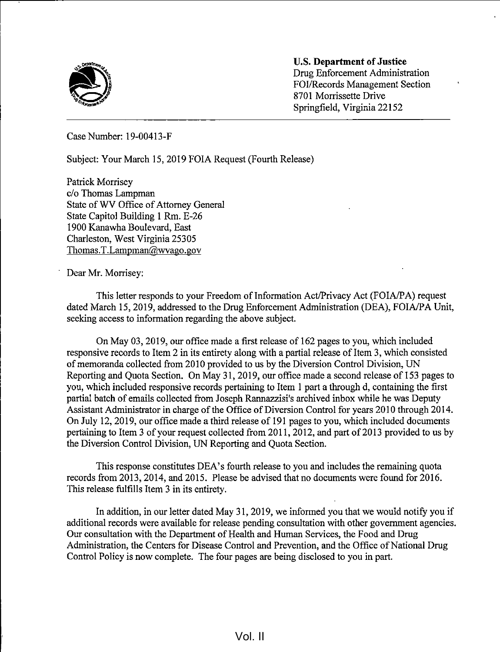

U.S. Department of Justice Drug Enforcement Administration FOI/Records Management Section 8701 Morrissette Drive Springfield, Virginia 22152

Case Number: 19-00413-F

Subject: Your March 15, 2019 FOIA Request (Fourth Release)

Patrick Morrisey c/o Thomas Lampman State of WV Office of Attorney General State Capitol Building <sup>1</sup> Rm. E-26 1900 Kanawha Boulevard, East Charleston, West Virginia 25305 Thomas.T.Lampman@wvago.gov

Dear Mr. Morrisey:

This letter responds to your Freedom of Information Act/Privacy Act (FOIA/PA) request dated March 15, 2019, addressed to the Drug Enforcement Administration (DEA), FOIA/PA Unit, seeking access to information regarding the above subject.

On May 03, 2019, our office made <sup>a</sup> first release of 162 pages to you, which included responsive records to Item 2 in its entirety along with <sup>a</sup> partial release of Item 3, which consisted of memoranda collected from 2010 provided to us by the Diversion Control Division, UN Reporting and Quota Section. On May 31, 2019, our office made a second release of 153 pages to you, which included responsive records pertaining to Item <sup>1</sup> part a through d, containing the first partial batch of emails collected from Joseph Rannazzisi's archived inbox while he was Deputy Assistant Administrator in charge of the Office of Diversion Control for years 2010 through 2014. On July 12, 2019, our office made a third release of <sup>191</sup> pages to you, which included documents pertaining to Item <sup>3</sup> of your request collected from 201 1, 2012, and part of 2013 provided to us by the Diversion Control Division, UN Reporting and Quota Section.

This response constitutes DEA's fourth release to you and includes the remaining quota records from 2013, 2014, and 2015. Please be advised that no documents were found for 2016. This release fulfills Item <sup>3</sup> in its entirety.

In addition, in our letter dated May 31, 2019, we informed you that we would notify you if additional records were available for release pending consultation with other government agencies. Our consultation with the Department of Health and Human Services, the Food and Drug Administration, the Centers for Disease Control and Prevention, and the Office of National Drug Control Policy is now complete. The four pages are being disclosed to you in part.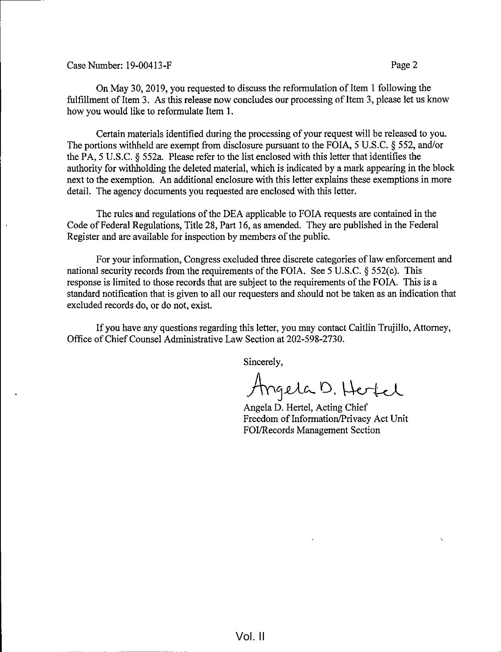Case Number: 19-00413-F Page 2

On May 30, 2019, you requested to discuss the reformulation of Item 1 following the fulfillment of Item 3. As this release now concludes our processing of Item 3, please let us know how you would like to reformulate Item 1.

Certain materials identified during the processing of your request will be released to you. The portions withheld are exempt from disclosure pursuant to the FOIA, 5 U.S.C. § 552, and/or the PA, <sup>5</sup> U.S.C. § 552a. Please refer to the list enclosed with this letter that identifies the authority for withholding the deleted material, which is indicated by a mark appearing in the block next to the exemption. An additional enclosure with this letter explains these exemptions in more detail. The agency documents you requested are enclosed with this letter.

The rules and regulations of the DEA applicable to FOIA requests are contained in the Code of Federal Regulations, Title 28, Part 16, as amended. They are published in the Federal Register and are available for inspection by members of the public.

For your information, Congress excluded three discrete categories of law enforcement and national security records from the requirements of the FOIA. See <sup>5</sup> U.S.C. § 552(c). This response is limited to those records that are subject to the requirements of the FOIA. This is a standard notification that is given to all our requesters and should not be taken as an indication that excluded records do, or do not, exist.

If you have any questions regarding this letter, you may contact Caitlin Trujillo, Attorney, Office of Chief Counsel Administrative Law Section at 202-598-2730.

Sincerely,

Angela D. Hertel

Angela D. Hertel, Acting Chief Freedom of Information/Privacy Act Unit FOI/Records Management Section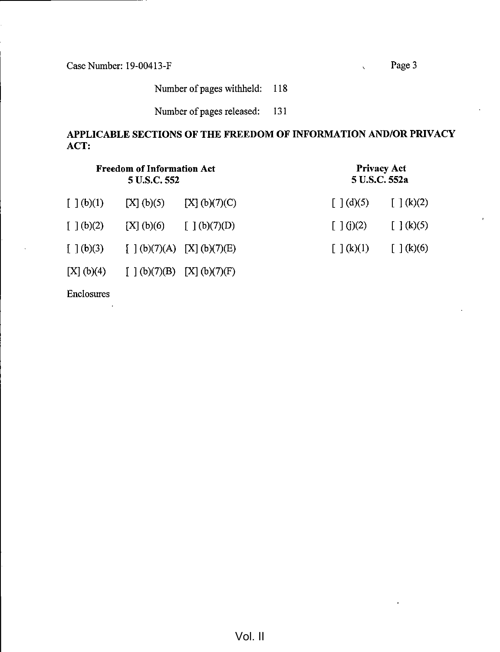Case Number: 19-00413-F Page 3

 $\ddot{\phantom{0}}$ 

Number of pages withheld: 118

Number of pages released: 131

## APPLICABLE SECTIONS OF THE FREEDOM OF INFORMATION AND/OR PRIVACY ACT:

| <b>Freedom of Information Act</b><br>5 U.S.C. 552 |                                          |                            | <b>Privacy Act</b><br>5 U.S.C. 552a |                                                    |
|---------------------------------------------------|------------------------------------------|----------------------------|-------------------------------------|----------------------------------------------------|
| $\left[\begin{array}{c}1\end{array}(b)(1)\right]$ | [X] (b)(5)                               | [X] (b)(7)(C)              | $\lceil \, \cdot \, \rceil$ (d)(5)  | $\left[\begin{array}{c}1\end{array}(k)(2)\right]$  |
| $\left[\begin{array}{c}1\end{array}(b)(2)\right]$ |                                          | [X] (b)(6) $[ ] (b)(7)(D)$ | $\lceil \ \rceil$ (j)(2)            | $\left[\begin{array}{c} \end{array}\right]$ (k)(5) |
|                                                   | $[ ] (b)(3) [ ] (b)(7)(A) [X] (b)(7)(E)$ |                            | $\lceil \ \rceil$ (k)(1)            | $\lceil \cdot \rceil$ (k)(6)                       |
|                                                   | [X] (b)(4) $[1](b)(7)(B)$ [X] (b)(7)(F)  |                            |                                     |                                                    |

Enclosures

 $\overline{a}$